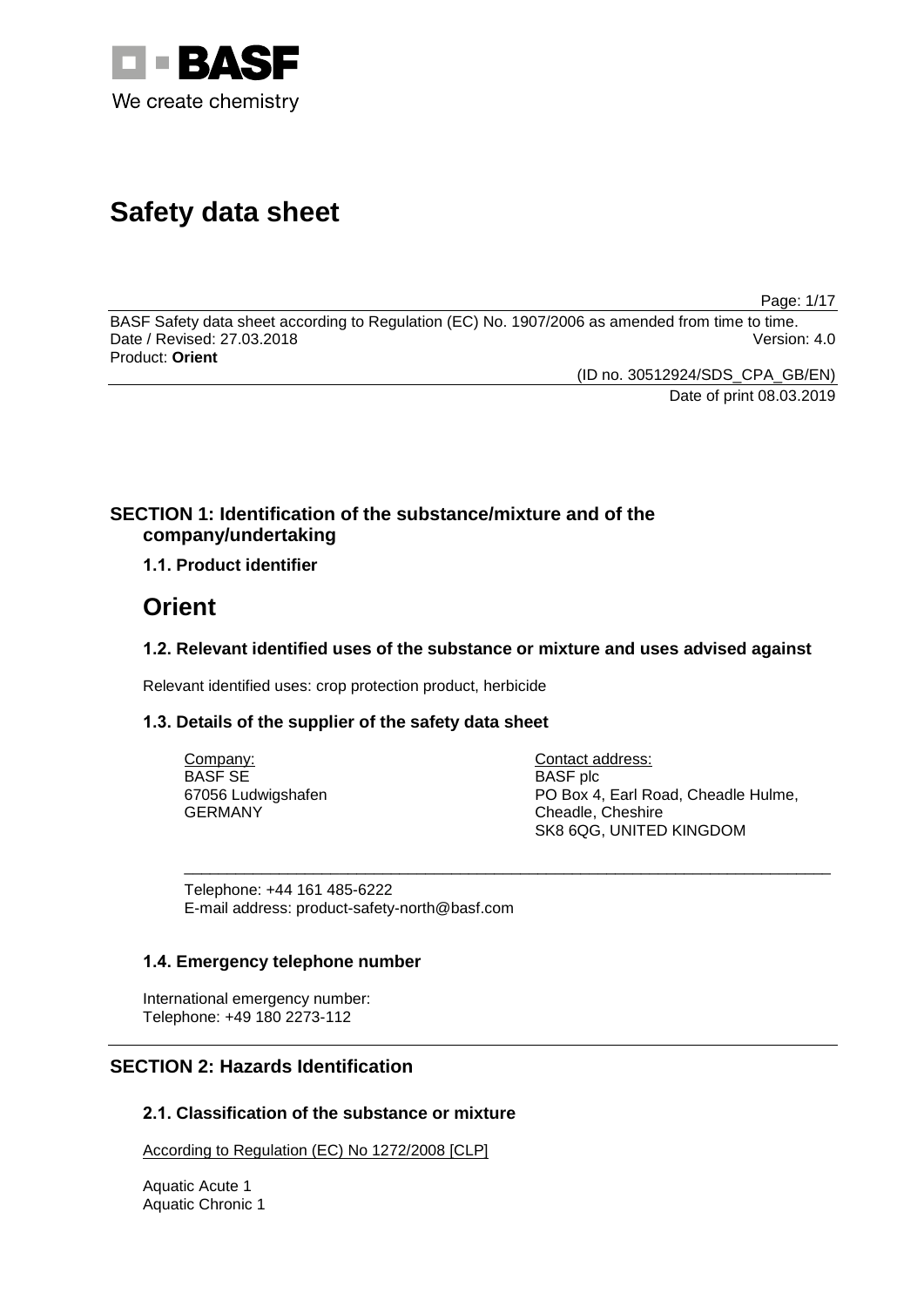

# **Safety data sheet**

Page: 1/17

BASF Safety data sheet according to Regulation (EC) No. 1907/2006 as amended from time to time. Date / Revised: 27.03.2018 Version: 4.0 Product: **Orient**

(ID no. 30512924/SDS\_CPA\_GB/EN)

Date of print 08.03.2019

### **SECTION 1: Identification of the substance/mixture and of the company/undertaking**

**1.1. Product identifier**

# **Orient**

### **1.2. Relevant identified uses of the substance or mixture and uses advised against**

Relevant identified uses: crop protection product, herbicide

### **1.3. Details of the supplier of the safety data sheet**

| Company:           | Contact address:                    |
|--------------------|-------------------------------------|
| BASF SE            | <b>BASF</b> plc                     |
| 67056 Ludwigshafen | PO Box 4, Earl Road, Cheadle Hulme, |
| GERMANY            | Cheadle, Cheshire                   |
|                    | SK8 6QG, UNITED KINGDOM             |

\_\_\_\_\_\_\_\_\_\_\_\_\_\_\_\_\_\_\_\_\_\_\_\_\_\_\_\_\_\_\_\_\_\_\_\_\_\_\_\_\_\_\_\_\_\_\_\_\_\_\_\_\_\_\_\_\_\_\_\_\_\_\_\_\_\_\_\_\_\_\_\_\_\_\_

Telephone: +44 161 485-6222 E-mail address: product-safety-north@basf.com

### **1.4. Emergency telephone number**

International emergency number: Telephone: +49 180 2273-112

### **SECTION 2: Hazards Identification**

### **2.1. Classification of the substance or mixture**

According to Regulation (EC) No 1272/2008 [CLP]

Aquatic Acute 1 Aquatic Chronic 1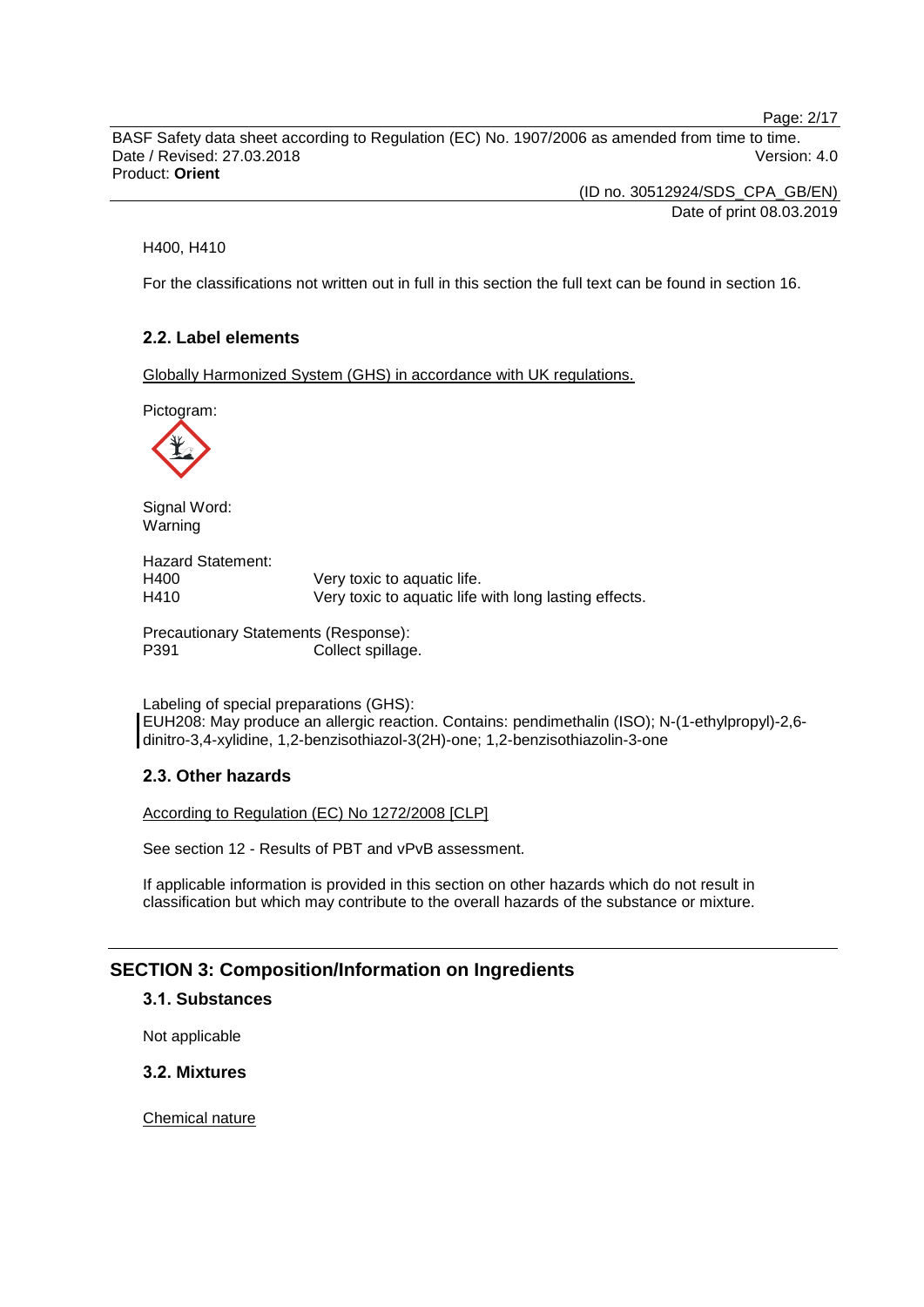Page: 2/17

BASF Safety data sheet according to Regulation (EC) No. 1907/2006 as amended from time to time. Date / Revised: 27.03.2018 Version: 4.0 Product: **Orient**

> (ID no. 30512924/SDS\_CPA\_GB/EN) Date of print 08.03.2019

H400, H410

For the classifications not written out in full in this section the full text can be found in section 16.

### **2.2. Label elements**

Globally Harmonized System (GHS) in accordance with UK regulations.

Pictogram:



Signal Word: Warning

Hazard Statement: H400 Very toxic to aquatic life. H410 Very toxic to aquatic life with long lasting effects.

Precautionary Statements (Response): P391 Collect spillage.

Labeling of special preparations (GHS): EUH208: May produce an allergic reaction. Contains: pendimethalin (ISO); N-(1-ethylpropyl)-2,6 dinitro-3,4-xylidine, 1,2-benzisothiazol-3(2H)-one; 1,2-benzisothiazolin-3-one

#### **2.3. Other hazards**

According to Regulation (EC) No 1272/2008 [CLP]

See section 12 - Results of PBT and vPvB assessment.

If applicable information is provided in this section on other hazards which do not result in classification but which may contribute to the overall hazards of the substance or mixture.

#### **SECTION 3: Composition/Information on Ingredients**

#### **3.1. Substances**

Not applicable

**3.2. Mixtures**

Chemical nature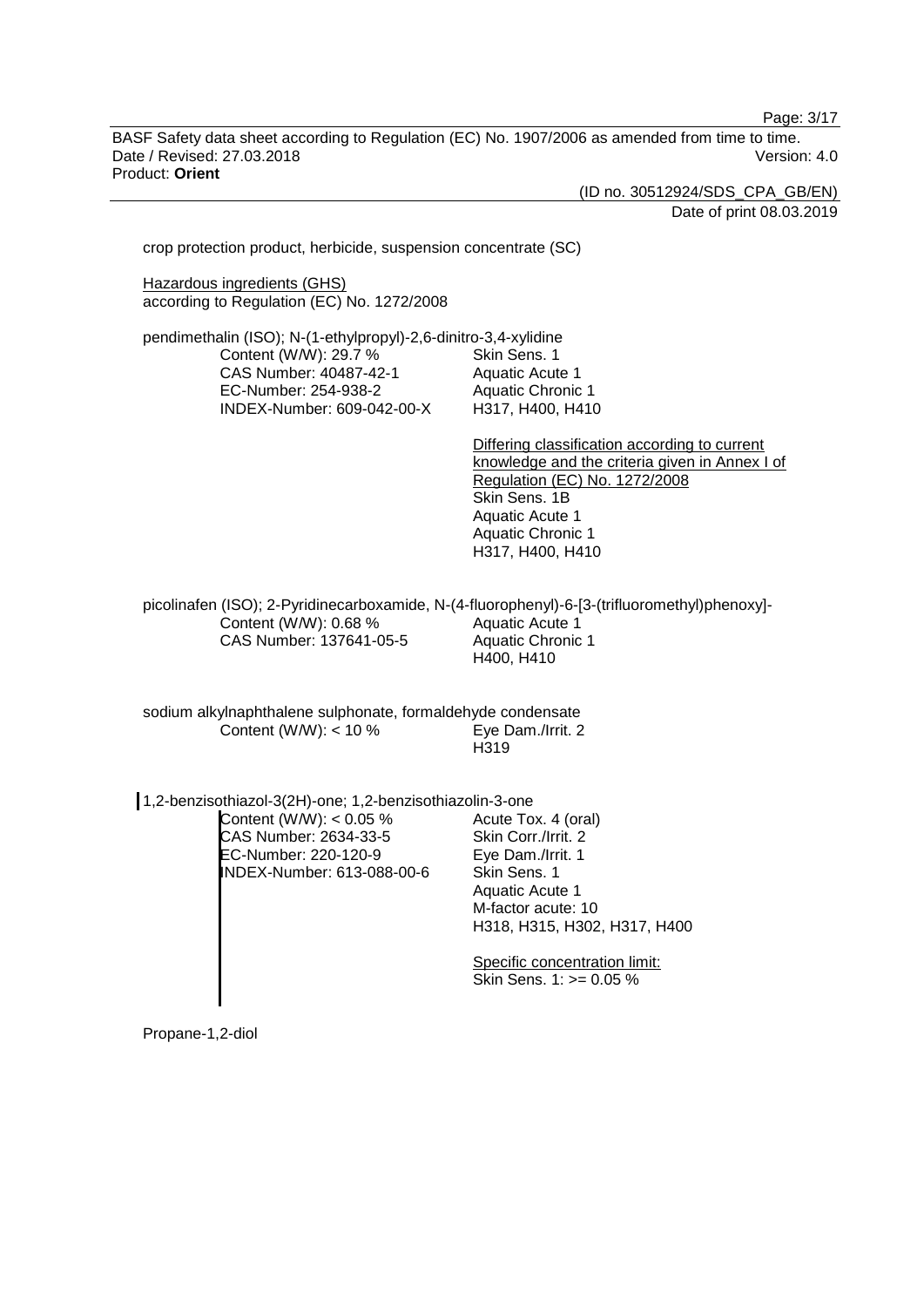Page: 3/17

BASF Safety data sheet according to Regulation (EC) No. 1907/2006 as amended from time to time. Date / Revised: 27.03.2018 Version: 4.0 Product: **Orient**

(ID no. 30512924/SDS\_CPA\_GB/EN)

Date of print 08.03.2019

crop protection product, herbicide, suspension concentrate (SC)

Hazardous ingredients (GHS) according to Regulation (EC) No. 1272/2008

pendimethalin (ISO); N-(1-ethylpropyl)-2,6-dinitro-3,4-xylidine Content (W/W): 29.7 % CAS Number: 40487-42-1 EC-Number: 254-938-2 INDEX-Number: 609-042-00-X Skin Sens. 1 Aquatic Acute 1 Aquatic Chronic 1 H317, H400, H410

> Differing classification according to current knowledge and the criteria given in Annex I of Regulation (EC) No. 1272/2008 Skin Sens. 1B Aquatic Acute 1 Aquatic Chronic 1 H317, H400, H410

picolinafen (ISO); 2-Pyridinecarboxamide, N-(4-fluorophenyl)-6-[3-(trifluoromethyl)phenoxy]- Content (W/W): 0.68 % CAS Number: 137641-05-5 Aquatic Acute 1 Aquatic Chronic 1 H400, H410

sodium alkylnaphthalene sulphonate, formaldehyde condensate<br>Content (W/W): < 10 % Eye Dam./Irrit. 2 Content (W/W):  $<$  10 % H319

| 1,2-benzisothiazol-3(2H)-one; 1,2-benzisothiazolin-3-one                                                  |                                                                                                                                                          |
|-----------------------------------------------------------------------------------------------------------|----------------------------------------------------------------------------------------------------------------------------------------------------------|
| Content (W/W): $< 0.05 \%$<br>CAS Number: 2634-33-5<br>EC-Number: 220-120-9<br>INDEX-Number: 613-088-00-6 | Acute Tox. 4 (oral)<br>Skin Corr./Irrit. 2<br>Eye Dam./Irrit. 1<br>Skin Sens. 1<br>Aquatic Acute 1<br>M-factor acute: 10<br>H318, H315, H302, H317, H400 |
|                                                                                                           | Specific concentration limit:<br>Skin Sens. $1:>=0.05\%$                                                                                                 |

Propane-1,2-diol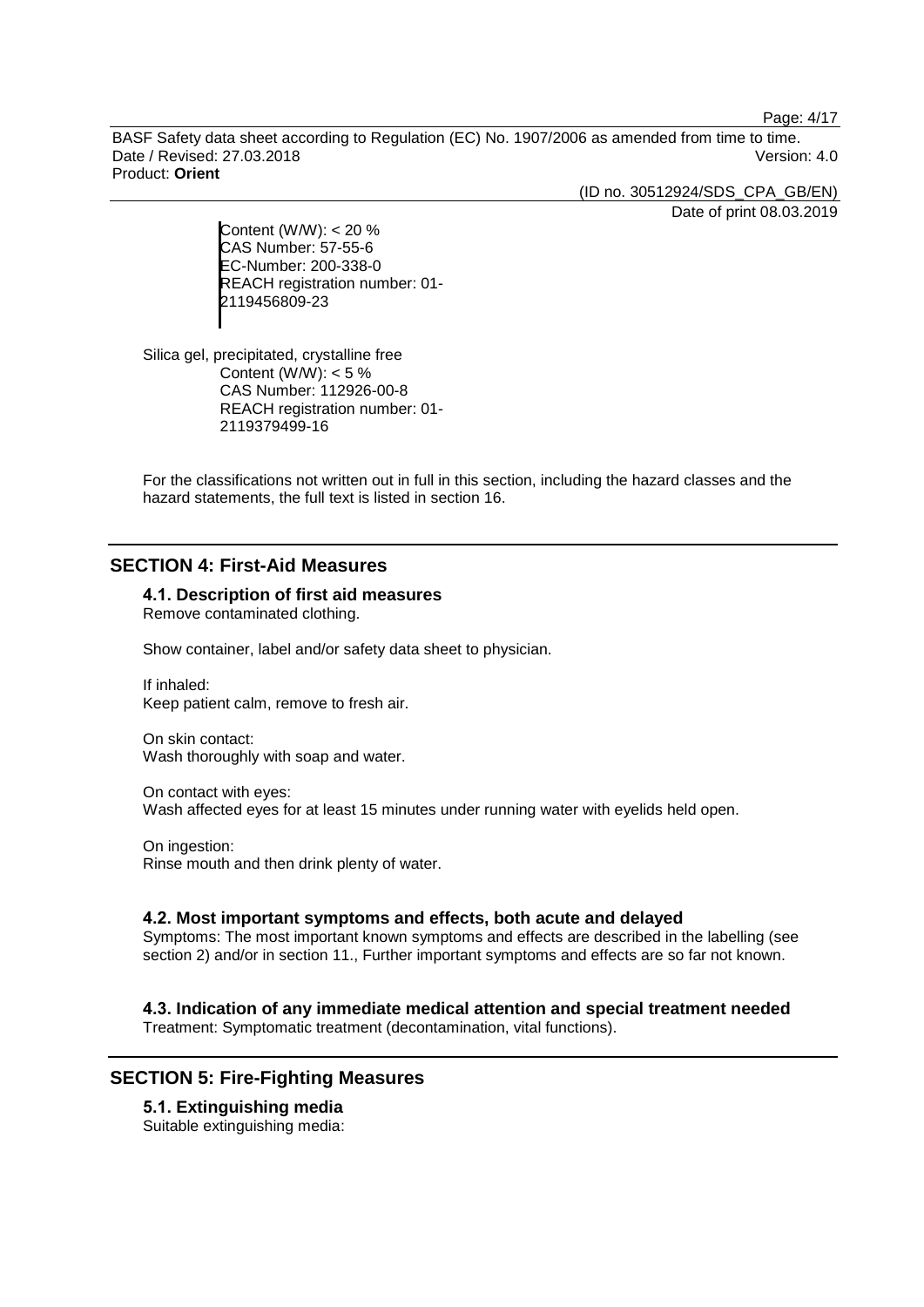Page: 4/17

BASF Safety data sheet according to Regulation (EC) No. 1907/2006 as amended from time to time. Date / Revised: 27.03.2018 Version: 4.0 Product: **Orient**

> (ID no. 30512924/SDS\_CPA\_GB/EN) Date of print 08.03.2019

Content (W/W): < 20 % CAS Number: 57-55-6 EC-Number: 200-338-0 REACH registration number: 01- 2119456809-23

Silica gel, precipitated, crystalline free Content (W/W):  $< 5 \%$ CAS Number: 112926-00-8 REACH registration number: 01- 2119379499-16

For the classifications not written out in full in this section, including the hazard classes and the hazard statements, the full text is listed in section 16.

### **SECTION 4: First-Aid Measures**

#### **4.1. Description of first aid measures**

Remove contaminated clothing.

Show container, label and/or safety data sheet to physician.

If inhaled: Keep patient calm, remove to fresh air.

On skin contact: Wash thoroughly with soap and water.

On contact with eyes: Wash affected eyes for at least 15 minutes under running water with eyelids held open.

On ingestion: Rinse mouth and then drink plenty of water.

#### **4.2. Most important symptoms and effects, both acute and delayed**

Symptoms: The most important known symptoms and effects are described in the labelling (see section 2) and/or in section 11., Further important symptoms and effects are so far not known.

### **4.3. Indication of any immediate medical attention and special treatment needed**

Treatment: Symptomatic treatment (decontamination, vital functions).

### **SECTION 5: Fire-Fighting Measures**

**5.1. Extinguishing media** Suitable extinguishing media: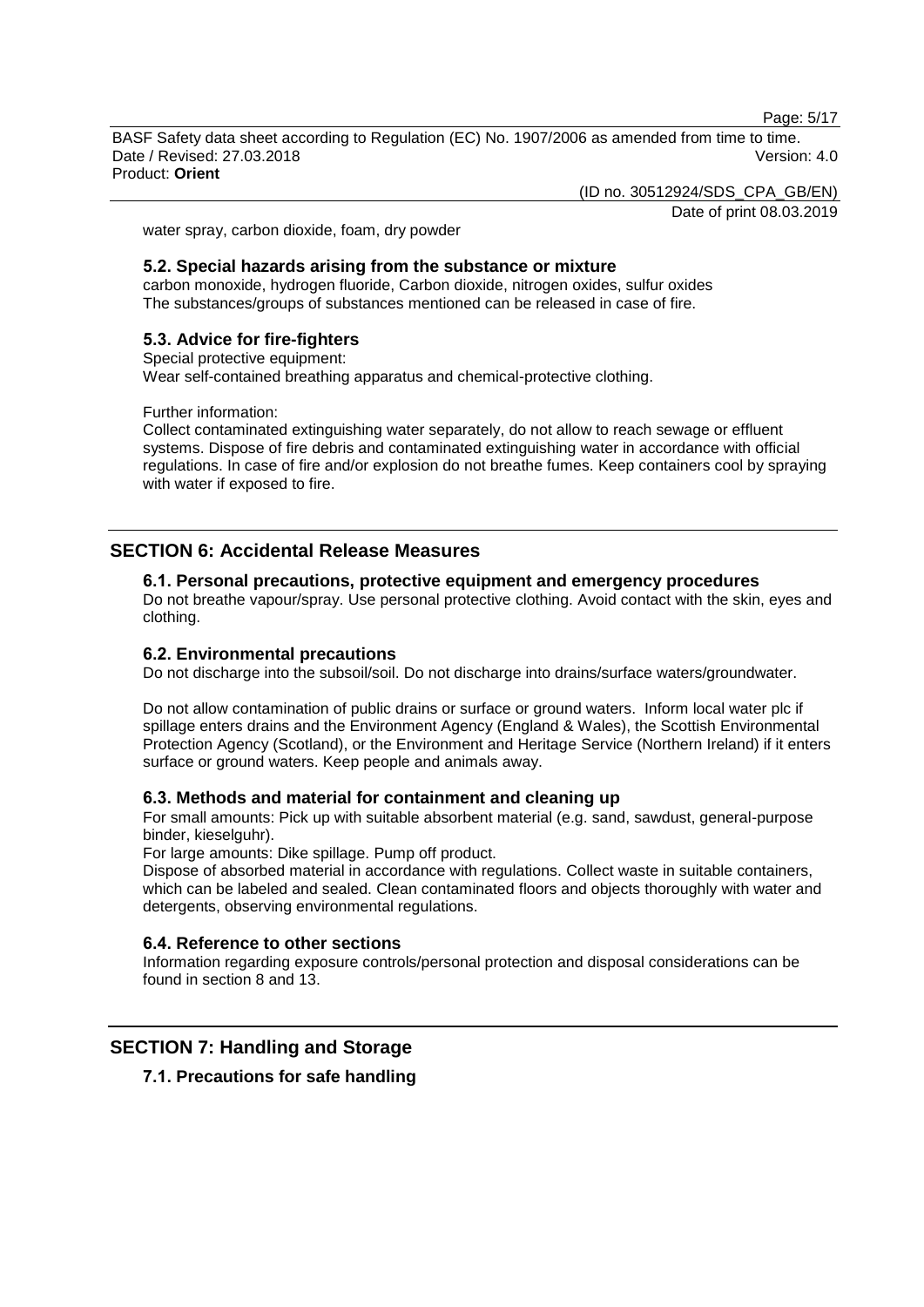Page: 5/17

BASF Safety data sheet according to Regulation (EC) No. 1907/2006 as amended from time to time. Date / Revised: 27.03.2018 Version: 4.0 Product: **Orient**

(ID no. 30512924/SDS\_CPA\_GB/EN)

Date of print 08.03.2019

water spray, carbon dioxide, foam, dry powder

#### **5.2. Special hazards arising from the substance or mixture**

carbon monoxide, hydrogen fluoride, Carbon dioxide, nitrogen oxides, sulfur oxides The substances/groups of substances mentioned can be released in case of fire.

#### **5.3. Advice for fire-fighters**

#### Special protective equipment:

Wear self-contained breathing apparatus and chemical-protective clothing.

Further information:

Collect contaminated extinguishing water separately, do not allow to reach sewage or effluent systems. Dispose of fire debris and contaminated extinguishing water in accordance with official regulations. In case of fire and/or explosion do not breathe fumes. Keep containers cool by spraying with water if exposed to fire.

### **SECTION 6: Accidental Release Measures**

#### **6.1. Personal precautions, protective equipment and emergency procedures**

Do not breathe vapour/spray. Use personal protective clothing. Avoid contact with the skin, eyes and clothing.

#### **6.2. Environmental precautions**

Do not discharge into the subsoil/soil. Do not discharge into drains/surface waters/groundwater.

Do not allow contamination of public drains or surface or ground waters. Inform local water plc if spillage enters drains and the Environment Agency (England & Wales), the Scottish Environmental Protection Agency (Scotland), or the Environment and Heritage Service (Northern Ireland) if it enters surface or ground waters. Keep people and animals away.

#### **6.3. Methods and material for containment and cleaning up**

For small amounts: Pick up with suitable absorbent material (e.g. sand, sawdust, general-purpose binder, kieselguhr).

For large amounts: Dike spillage. Pump off product.

Dispose of absorbed material in accordance with regulations. Collect waste in suitable containers, which can be labeled and sealed. Clean contaminated floors and objects thoroughly with water and detergents, observing environmental regulations.

#### **6.4. Reference to other sections**

Information regarding exposure controls/personal protection and disposal considerations can be found in section 8 and 13.

### **SECTION 7: Handling and Storage**

**7.1. Precautions for safe handling**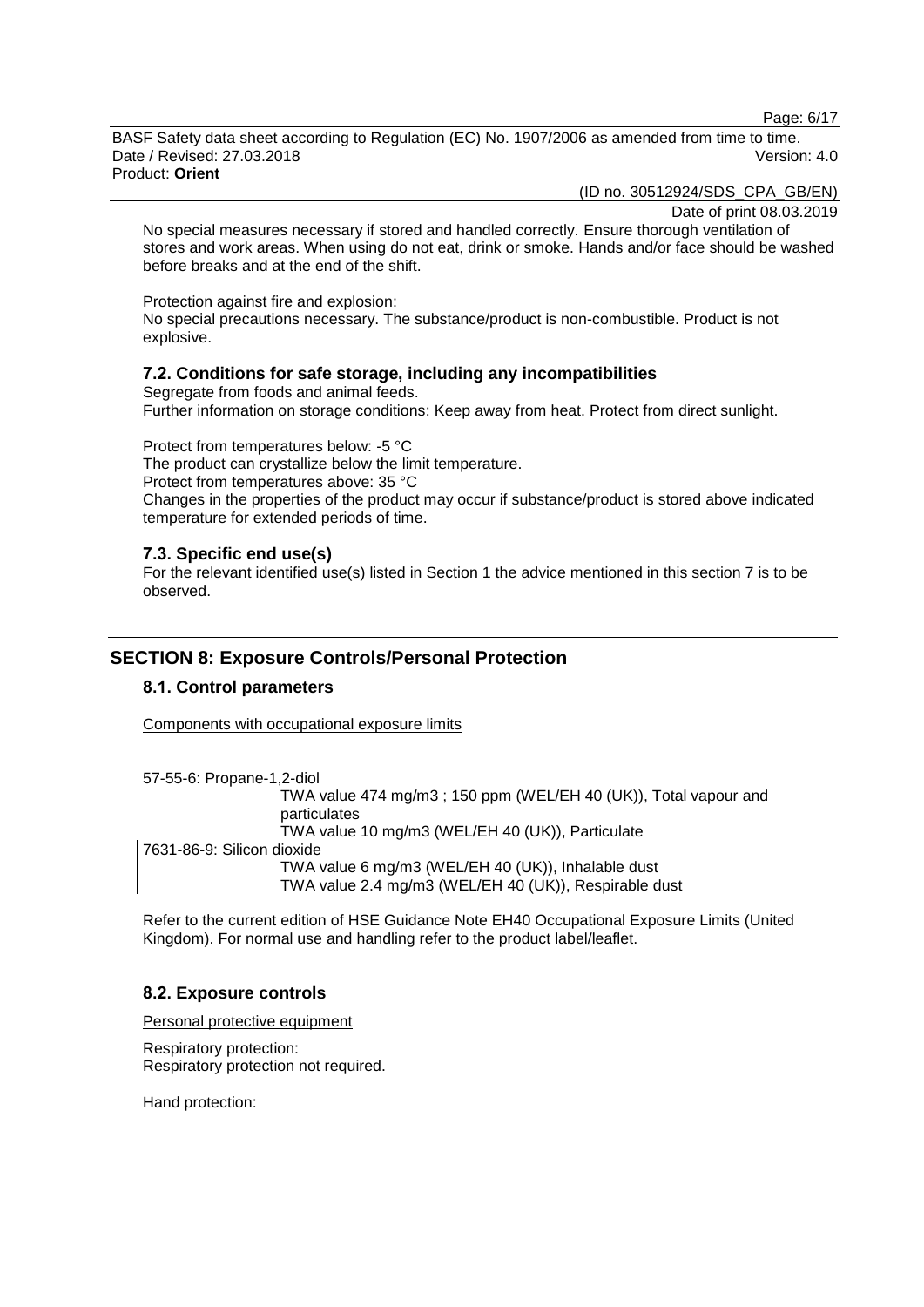Page: 6/17

BASF Safety data sheet according to Regulation (EC) No. 1907/2006 as amended from time to time. Date / Revised: 27.03.2018 Version: 4.0 Product: **Orient**

(ID no. 30512924/SDS\_CPA\_GB/EN)

Date of print 08.03.2019

No special measures necessary if stored and handled correctly. Ensure thorough ventilation of stores and work areas. When using do not eat, drink or smoke. Hands and/or face should be washed before breaks and at the end of the shift.

Protection against fire and explosion:

No special precautions necessary. The substance/product is non-combustible. Product is not explosive.

#### **7.2. Conditions for safe storage, including any incompatibilities**

Segregate from foods and animal feeds. Further information on storage conditions: Keep away from heat. Protect from direct sunlight.

Protect from temperatures below: -5 °C The product can crystallize below the limit temperature. Protect from temperatures above: 35 °C Changes in the properties of the product may occur if substance/product is stored above indicated temperature for extended periods of time.

#### **7.3. Specific end use(s)**

For the relevant identified use(s) listed in Section 1 the advice mentioned in this section 7 is to be observed.

### **SECTION 8: Exposure Controls/Personal Protection**

#### **8.1. Control parameters**

Components with occupational exposure limits

57-55-6: Propane-1,2-diol

TWA value 474 mg/m3 ; 150 ppm (WEL/EH 40 (UK)), Total vapour and particulates TWA value 10 mg/m3 (WEL/EH 40 (UK)), Particulate 7631-86-9: Silicon dioxide

TWA value 6 mg/m3 (WEL/EH 40 (UK)), Inhalable dust TWA value 2.4 mg/m3 (WEL/EH 40 (UK)), Respirable dust

Refer to the current edition of HSE Guidance Note EH40 Occupational Exposure Limits (United Kingdom). For normal use and handling refer to the product label/leaflet.

#### **8.2. Exposure controls**

Personal protective equipment

Respiratory protection: Respiratory protection not required.

Hand protection: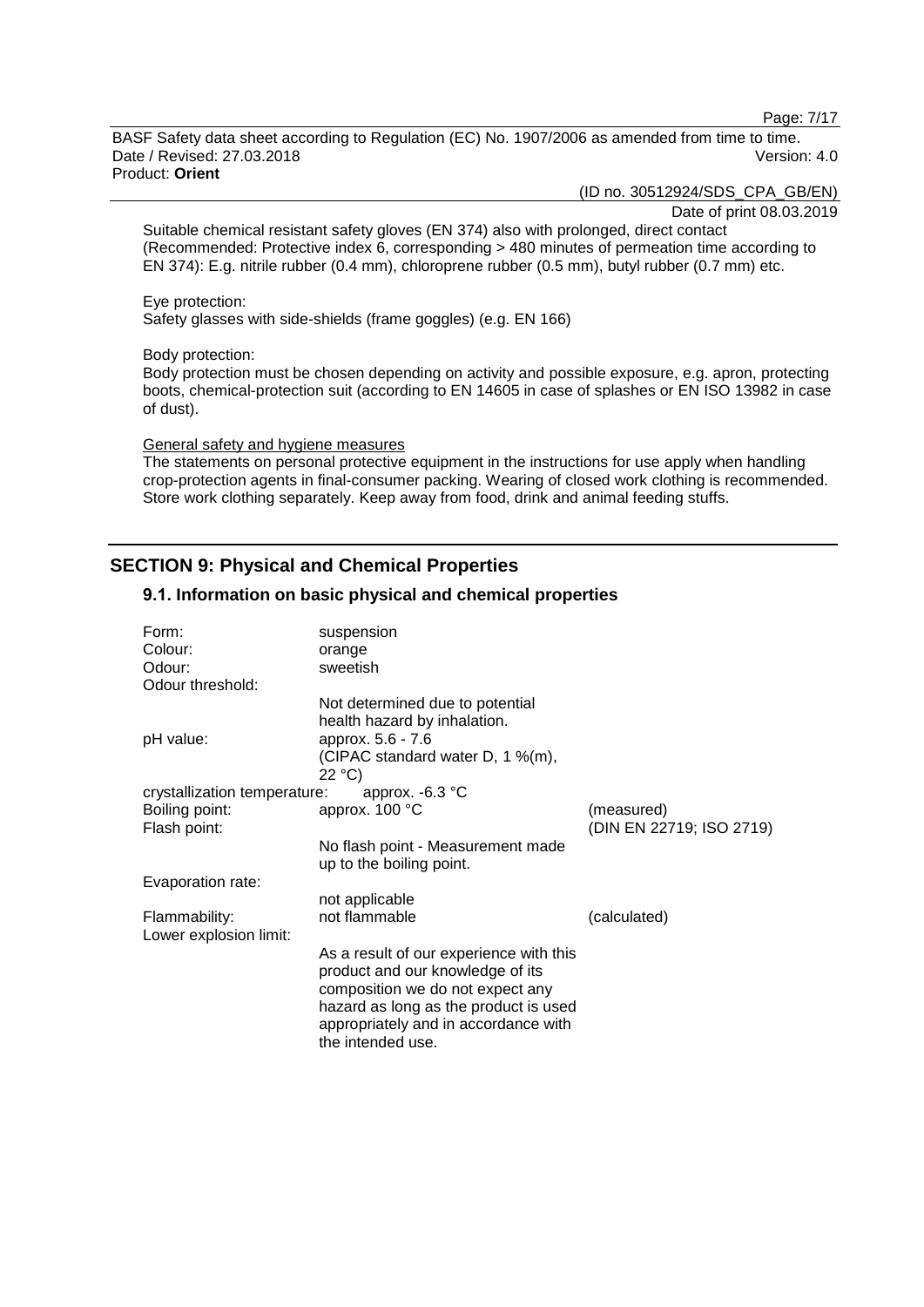Page: 7/17

BASF Safety data sheet according to Regulation (EC) No. 1907/2006 as amended from time to time. Date / Revised: 27.03.2018 Version: 4.0 Product: **Orient**

(ID no. 30512924/SDS\_CPA\_GB/EN)

Date of print 08.03.2019

Suitable chemical resistant safety gloves (EN 374) also with prolonged, direct contact (Recommended: Protective index 6, corresponding > 480 minutes of permeation time according to EN 374): E.g. nitrile rubber (0.4 mm), chloroprene rubber (0.5 mm), butyl rubber (0.7 mm) etc.

#### Eye protection:

Safety glasses with side-shields (frame goggles) (e.g. EN 166)

#### Body protection:

Body protection must be chosen depending on activity and possible exposure, e.g. apron, protecting boots, chemical-protection suit (according to EN 14605 in case of splashes or EN ISO 13982 in case of dust).

#### General safety and hygiene measures

The statements on personal protective equipment in the instructions for use apply when handling crop-protection agents in final-consumer packing. Wearing of closed work clothing is recommended. Store work clothing separately. Keep away from food, drink and animal feeding stuffs.

### **SECTION 9: Physical and Chemical Properties**

#### **9.1. Information on basic physical and chemical properties**

| Form:                        | suspension                              |                          |
|------------------------------|-----------------------------------------|--------------------------|
| Colour:                      | orange                                  |                          |
| Odour:                       | sweetish                                |                          |
| Odour threshold:             |                                         |                          |
|                              | Not determined due to potential         |                          |
|                              | health hazard by inhalation.            |                          |
|                              | approx. 5.6 - 7.6                       |                          |
| pH value:                    |                                         |                          |
|                              | (CIPAC standard water D, 1 %(m),        |                          |
|                              | 22 °C)                                  |                          |
| crystallization temperature: | approx. $-6.3$ °C                       |                          |
| Boiling point:               | approx. 100 °C                          | (measured)               |
| Flash point:                 |                                         | (DIN EN 22719; ISO 2719) |
|                              | No flash point - Measurement made       |                          |
|                              | up to the boiling point.                |                          |
|                              |                                         |                          |
| Evaporation rate:            |                                         |                          |
|                              | not applicable                          |                          |
| Flammability:                | not flammable                           | (calculated)             |
| Lower explosion limit:       |                                         |                          |
|                              | As a result of our experience with this |                          |
|                              | product and our knowledge of its        |                          |
|                              | composition we do not expect any        |                          |
|                              | hazard as long as the product is used   |                          |
|                              | appropriately and in accordance with    |                          |
|                              | the intended use.                       |                          |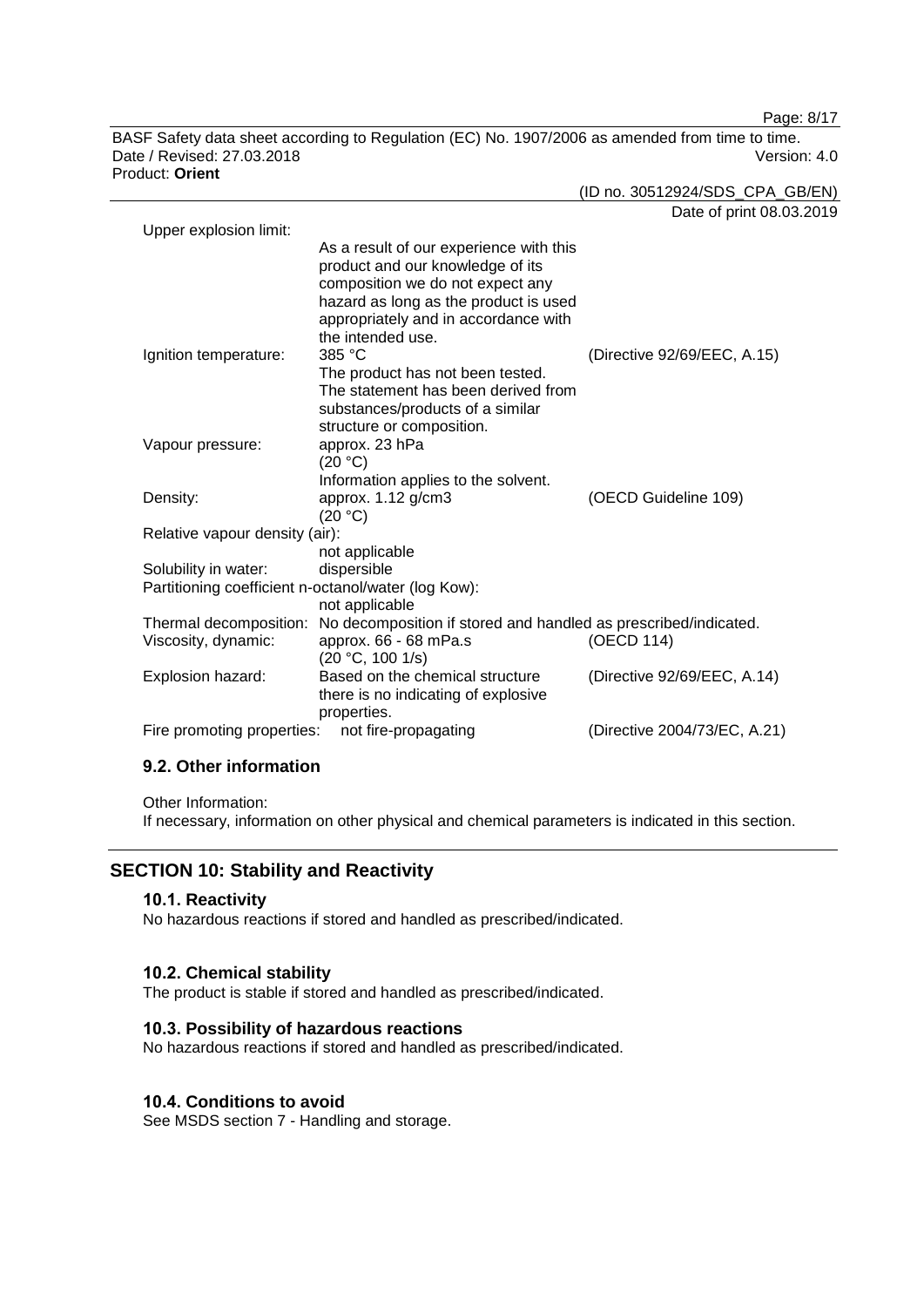Page: 8/17

BASF Safety data sheet according to Regulation (EC) No. 1907/2006 as amended from time to time. Date / Revised: 27.03.2018 Version: 4.0 Product: **Orient**

(ID no. 30512924/SDS\_CPA\_GB/EN)

|                                                     |                                                                                                                 | Date of print 08.03.2019     |
|-----------------------------------------------------|-----------------------------------------------------------------------------------------------------------------|------------------------------|
| Upper explosion limit:                              |                                                                                                                 |                              |
|                                                     | As a result of our experience with this<br>product and our knowledge of its<br>composition we do not expect any |                              |
|                                                     | hazard as long as the product is used                                                                           |                              |
|                                                     | appropriately and in accordance with                                                                            |                              |
|                                                     | the intended use.<br>385 °C                                                                                     |                              |
| Ignition temperature:                               | The product has not been tested.                                                                                | (Directive 92/69/EEC, A.15)  |
|                                                     | The statement has been derived from                                                                             |                              |
|                                                     | substances/products of a similar                                                                                |                              |
|                                                     | structure or composition.                                                                                       |                              |
| Vapour pressure:                                    | approx. 23 hPa                                                                                                  |                              |
|                                                     | (20 °C)                                                                                                         |                              |
|                                                     | Information applies to the solvent.                                                                             |                              |
| Density:                                            | approx. 1.12 g/cm3                                                                                              | (OECD Guideline 109)         |
|                                                     | (20 °C)                                                                                                         |                              |
| Relative vapour density (air):                      |                                                                                                                 |                              |
|                                                     | not applicable                                                                                                  |                              |
| Solubility in water:                                | dispersible                                                                                                     |                              |
| Partitioning coefficient n-octanol/water (log Kow): |                                                                                                                 |                              |
|                                                     | not applicable<br>Thermal decomposition: No decomposition if stored and handled as prescribed/indicated.        |                              |
| Viscosity, dynamic:                                 | approx. 66 - 68 mPa.s                                                                                           | (OECD 114)                   |
|                                                     | (20 °C, 100 1/s)                                                                                                |                              |
| Explosion hazard:                                   | Based on the chemical structure                                                                                 | (Directive 92/69/EEC, A.14)  |
|                                                     | there is no indicating of explosive                                                                             |                              |
|                                                     | properties.                                                                                                     |                              |
| Fire promoting properties:                          | not fire-propagating                                                                                            | (Directive 2004/73/EC, A.21) |
|                                                     |                                                                                                                 |                              |

### **9.2. Other information**

Other Information:

If necessary, information on other physical and chemical parameters is indicated in this section.

### **SECTION 10: Stability and Reactivity**

#### **10.1. Reactivity**

No hazardous reactions if stored and handled as prescribed/indicated.

### **10.2. Chemical stability**

The product is stable if stored and handled as prescribed/indicated.

#### **10.3. Possibility of hazardous reactions**

No hazardous reactions if stored and handled as prescribed/indicated.

#### **10.4. Conditions to avoid**

See MSDS section 7 - Handling and storage.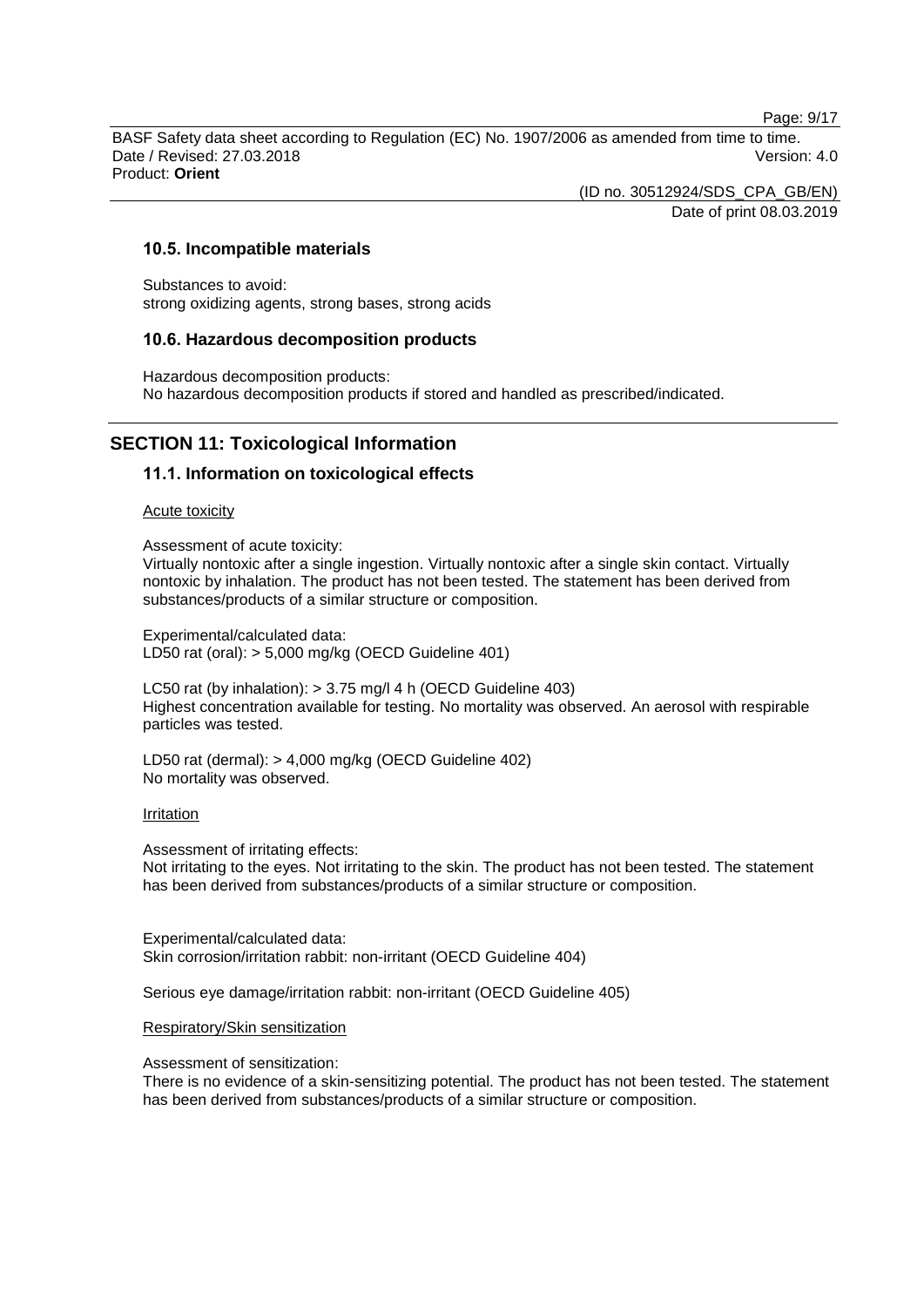Page: 9/17

BASF Safety data sheet according to Regulation (EC) No. 1907/2006 as amended from time to time. Date / Revised: 27.03.2018 Version: 4.0 Product: **Orient**

> (ID no. 30512924/SDS\_CPA\_GB/EN) Date of print 08.03.2019

#### **10.5. Incompatible materials**

Substances to avoid: strong oxidizing agents, strong bases, strong acids

#### **10.6. Hazardous decomposition products**

Hazardous decomposition products: No hazardous decomposition products if stored and handled as prescribed/indicated.

### **SECTION 11: Toxicological Information**

#### **11.1. Information on toxicological effects**

Acute toxicity

Assessment of acute toxicity:

Virtually nontoxic after a single ingestion. Virtually nontoxic after a single skin contact. Virtually nontoxic by inhalation. The product has not been tested. The statement has been derived from substances/products of a similar structure or composition.

Experimental/calculated data: LD50 rat (oral): > 5,000 mg/kg (OECD Guideline 401)

LC50 rat (by inhalation): > 3.75 mg/l 4 h (OECD Guideline 403) Highest concentration available for testing. No mortality was observed. An aerosol with respirable particles was tested.

LD50 rat (dermal): > 4,000 mg/kg (OECD Guideline 402) No mortality was observed.

#### Irritation

Assessment of irritating effects:

Not irritating to the eyes. Not irritating to the skin. The product has not been tested. The statement has been derived from substances/products of a similar structure or composition.

Experimental/calculated data: Skin corrosion/irritation rabbit: non-irritant (OECD Guideline 404)

Serious eye damage/irritation rabbit: non-irritant (OECD Guideline 405)

#### Respiratory/Skin sensitization

Assessment of sensitization:

There is no evidence of a skin-sensitizing potential. The product has not been tested. The statement has been derived from substances/products of a similar structure or composition.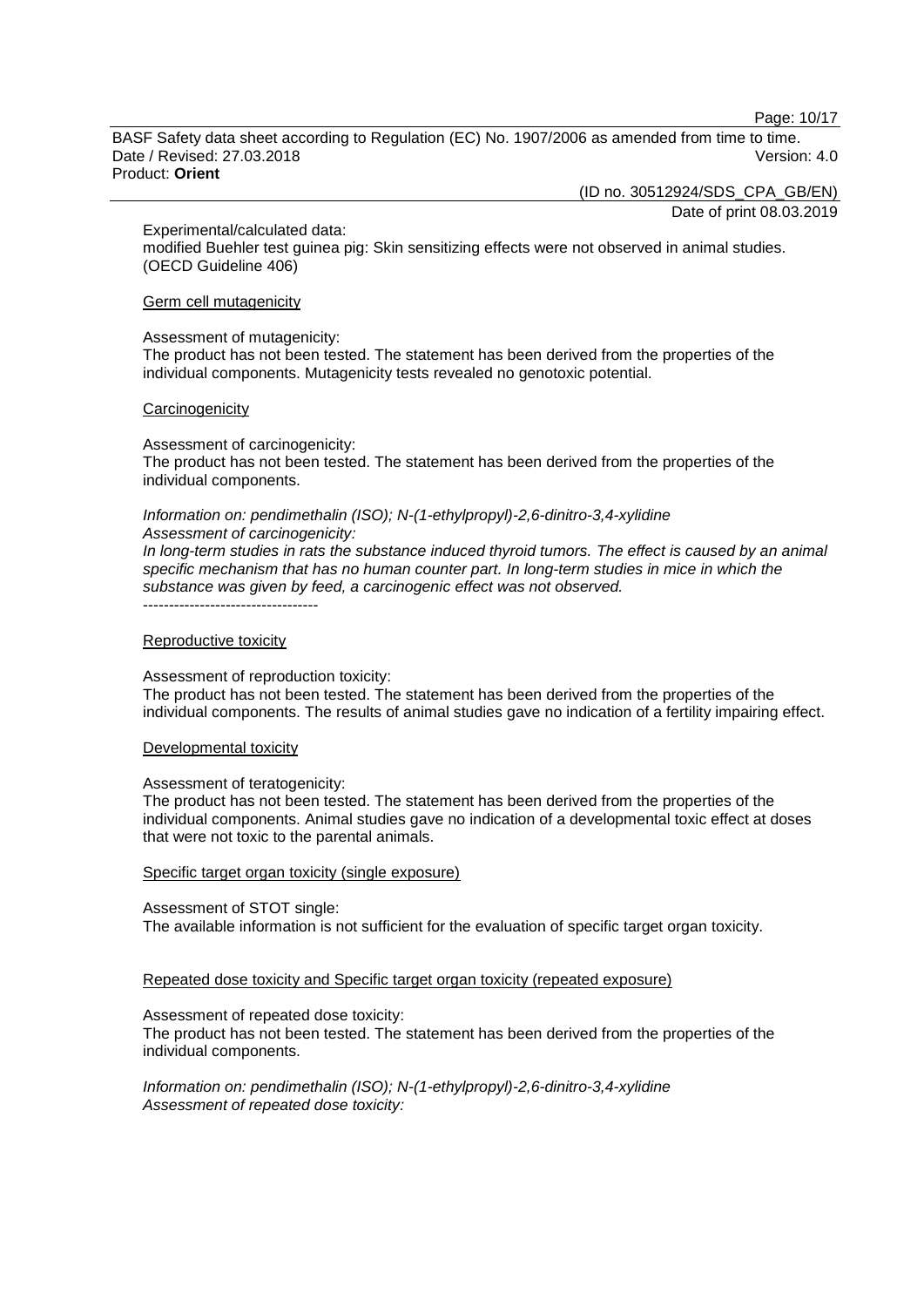Page: 10/17

BASF Safety data sheet according to Regulation (EC) No. 1907/2006 as amended from time to time. Date / Revised: 27.03.2018 Version: 4.0 Product: **Orient**

(ID no. 30512924/SDS\_CPA\_GB/EN)

Date of print 08.03.2019

Experimental/calculated data:

modified Buehler test guinea pig: Skin sensitizing effects were not observed in animal studies. (OECD Guideline 406)

#### Germ cell mutagenicity

Assessment of mutagenicity:

The product has not been tested. The statement has been derived from the properties of the individual components. Mutagenicity tests revealed no genotoxic potential.

#### **Carcinogenicity**

Assessment of carcinogenicity: The product has not been tested. The statement has been derived from the properties of the individual components.

#### *Information on: pendimethalin (ISO); N-(1-ethylpropyl)-2,6-dinitro-3,4-xylidine Assessment of carcinogenicity:*

*In long-term studies in rats the substance induced thyroid tumors. The effect is caused by an animal specific mechanism that has no human counter part. In long-term studies in mice in which the substance was given by feed, a carcinogenic effect was not observed.* ----------------------------------

# Reproductive toxicity

Assessment of reproduction toxicity:

The product has not been tested. The statement has been derived from the properties of the individual components. The results of animal studies gave no indication of a fertility impairing effect.

Developmental toxicity

#### Assessment of teratogenicity:

The product has not been tested. The statement has been derived from the properties of the individual components. Animal studies gave no indication of a developmental toxic effect at doses that were not toxic to the parental animals.

#### Specific target organ toxicity (single exposure)

Assessment of STOT single:

The available information is not sufficient for the evaluation of specific target organ toxicity.

Repeated dose toxicity and Specific target organ toxicity (repeated exposure)

Assessment of repeated dose toxicity:

The product has not been tested. The statement has been derived from the properties of the individual components.

*Information on: pendimethalin (ISO); N-(1-ethylpropyl)-2,6-dinitro-3,4-xylidine Assessment of repeated dose toxicity:*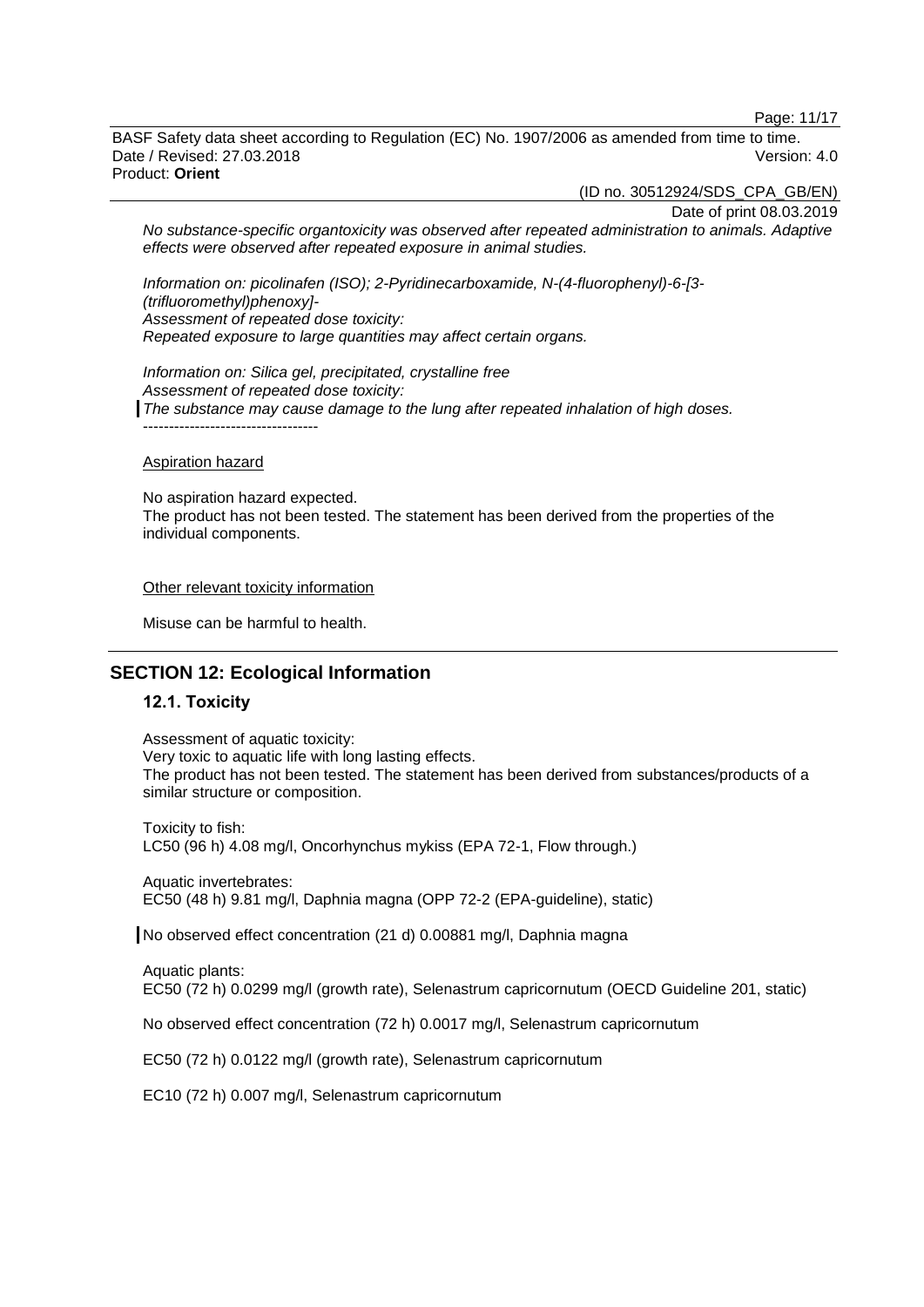Page: 11/17

BASF Safety data sheet according to Regulation (EC) No. 1907/2006 as amended from time to time. Date / Revised: 27.03.2018 Version: 4.0 Product: **Orient**

(ID no. 30512924/SDS\_CPA\_GB/EN)

Date of print 08.03.2019

*No substance-specific organtoxicity was observed after repeated administration to animals. Adaptive effects were observed after repeated exposure in animal studies.*

*Information on: picolinafen (ISO); 2-Pyridinecarboxamide, N-(4-fluorophenyl)-6-[3- (trifluoromethyl)phenoxy]- Assessment of repeated dose toxicity: Repeated exposure to large quantities may affect certain organs.*

*Information on: Silica gel, precipitated, crystalline free Assessment of repeated dose toxicity: The substance may cause damage to the lung after repeated inhalation of high doses.*

#### Aspiration hazard

----------------------------------

No aspiration hazard expected. The product has not been tested. The statement has been derived from the properties of the individual components.

#### Other relevant toxicity information

Misuse can be harmful to health.

### **SECTION 12: Ecological Information**

#### **12.1. Toxicity**

Assessment of aquatic toxicity: Very toxic to aquatic life with long lasting effects. The product has not been tested. The statement has been derived from substances/products of a similar structure or composition.

Toxicity to fish: LC50 (96 h) 4.08 mg/l, Oncorhynchus mykiss (EPA 72-1, Flow through.)

Aquatic invertebrates: EC50 (48 h) 9.81 mg/l, Daphnia magna (OPP 72-2 (EPA-guideline), static)

No observed effect concentration (21 d) 0.00881 mg/l, Daphnia magna

Aquatic plants: EC50 (72 h) 0.0299 mg/l (growth rate), Selenastrum capricornutum (OECD Guideline 201, static)

No observed effect concentration (72 h) 0.0017 mg/l, Selenastrum capricornutum

EC50 (72 h) 0.0122 mg/l (growth rate), Selenastrum capricornutum

EC10 (72 h) 0.007 mg/l, Selenastrum capricornutum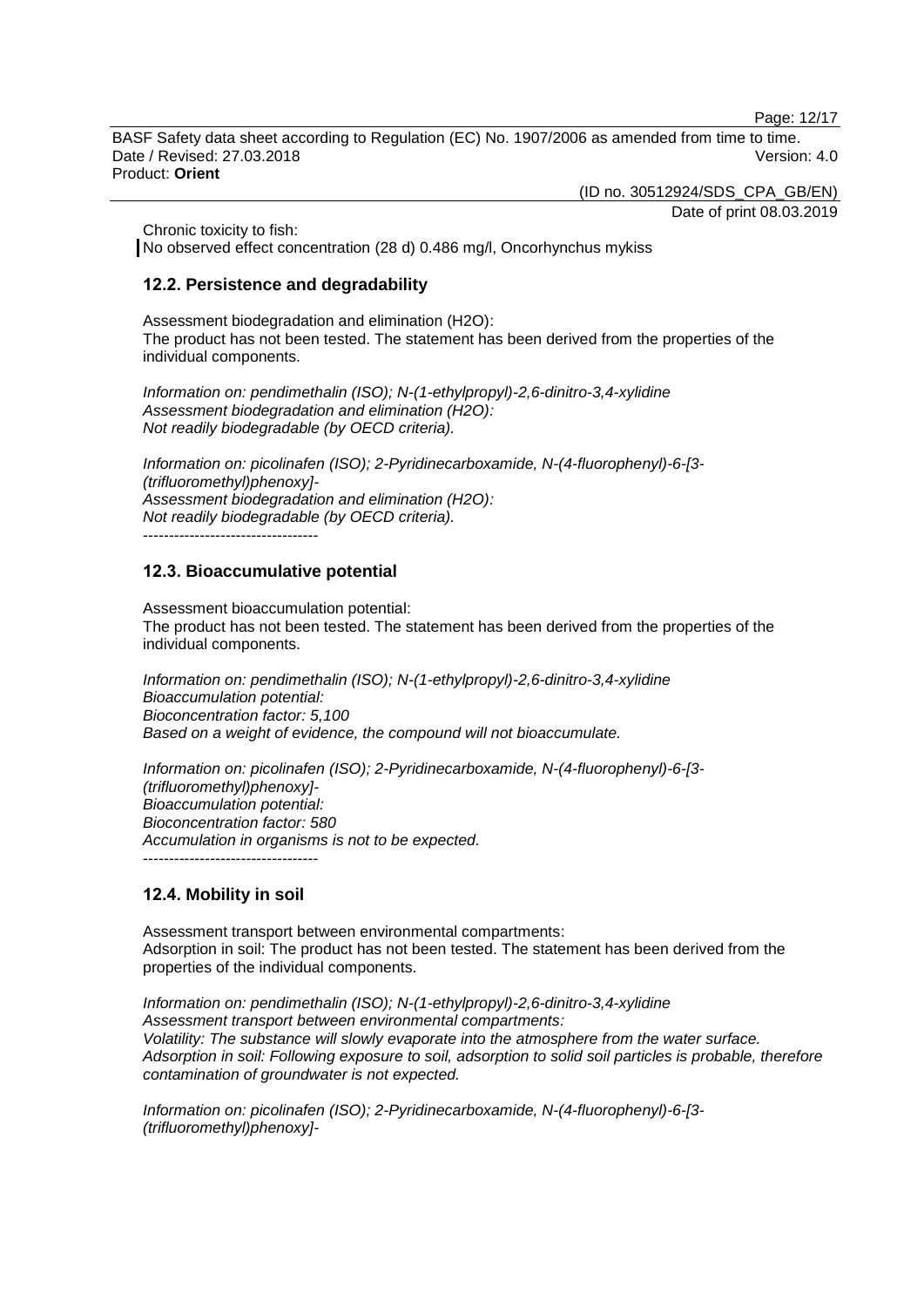Page: 12/17

BASF Safety data sheet according to Regulation (EC) No. 1907/2006 as amended from time to time. Date / Revised: 27.03.2018 Version: 4.0 Product: **Orient**

(ID no. 30512924/SDS\_CPA\_GB/EN)

Date of print 08.03.2019

Chronic toxicity to fish:

No observed effect concentration (28 d) 0.486 mg/l, Oncorhynchus mykiss

#### **12.2. Persistence and degradability**

Assessment biodegradation and elimination (H2O): The product has not been tested. The statement has been derived from the properties of the individual components.

*Information on: pendimethalin (ISO); N-(1-ethylpropyl)-2,6-dinitro-3,4-xylidine Assessment biodegradation and elimination (H2O): Not readily biodegradable (by OECD criteria).*

*Information on: picolinafen (ISO); 2-Pyridinecarboxamide, N-(4-fluorophenyl)-6-[3- (trifluoromethyl)phenoxy]- Assessment biodegradation and elimination (H2O): Not readily biodegradable (by OECD criteria).*

----------------------------------

#### **12.3. Bioaccumulative potential**

Assessment bioaccumulation potential: The product has not been tested. The statement has been derived from the properties of the individual components.

*Information on: pendimethalin (ISO); N-(1-ethylpropyl)-2,6-dinitro-3,4-xylidine Bioaccumulation potential: Bioconcentration factor: 5,100 Based on a weight of evidence, the compound will not bioaccumulate.*

*Information on: picolinafen (ISO); 2-Pyridinecarboxamide, N-(4-fluorophenyl)-6-[3- (trifluoromethyl)phenoxy]- Bioaccumulation potential: Bioconcentration factor: 580 Accumulation in organisms is not to be expected.* ----------------------------------

#### **12.4. Mobility in soil**

Assessment transport between environmental compartments: Adsorption in soil: The product has not been tested. The statement has been derived from the properties of the individual components.

*Information on: pendimethalin (ISO); N-(1-ethylpropyl)-2,6-dinitro-3,4-xylidine Assessment transport between environmental compartments: Volatility: The substance will slowly evaporate into the atmosphere from the water surface. Adsorption in soil: Following exposure to soil, adsorption to solid soil particles is probable, therefore contamination of groundwater is not expected.*

*Information on: picolinafen (ISO); 2-Pyridinecarboxamide, N-(4-fluorophenyl)-6-[3- (trifluoromethyl)phenoxy]-*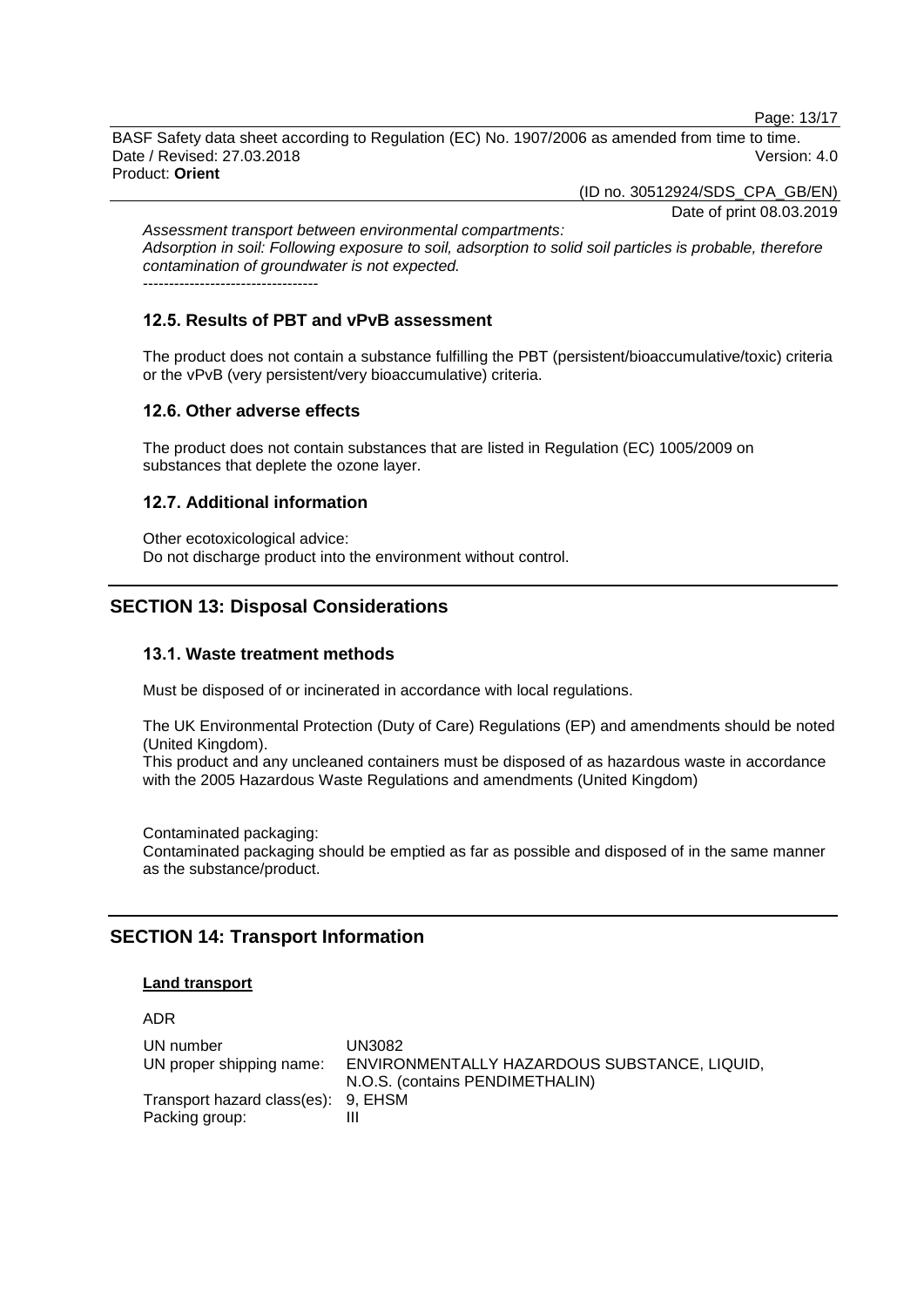Page: 13/17

BASF Safety data sheet according to Regulation (EC) No. 1907/2006 as amended from time to time. Date / Revised: 27.03.2018 Version: 4.0 Product: **Orient**

(ID no. 30512924/SDS\_CPA\_GB/EN)

Date of print 08.03.2019

*Assessment transport between environmental compartments: Adsorption in soil: Following exposure to soil, adsorption to solid soil particles is probable, therefore contamination of groundwater is not expected.* ----------------------------------

#### **12.5. Results of PBT and vPvB assessment**

The product does not contain a substance fulfilling the PBT (persistent/bioaccumulative/toxic) criteria or the vPvB (very persistent/very bioaccumulative) criteria.

#### **12.6. Other adverse effects**

The product does not contain substances that are listed in Regulation (EC) 1005/2009 on substances that deplete the ozone layer.

#### **12.7. Additional information**

Other ecotoxicological advice: Do not discharge product into the environment without control.

### **SECTION 13: Disposal Considerations**

#### **13.1. Waste treatment methods**

Must be disposed of or incinerated in accordance with local regulations.

The UK Environmental Protection (Duty of Care) Regulations (EP) and amendments should be noted (United Kingdom).

This product and any uncleaned containers must be disposed of as hazardous waste in accordance with the 2005 Hazardous Waste Regulations and amendments (United Kingdom)

Contaminated packaging: Contaminated packaging should be emptied as far as possible and disposed of in the same manner as the substance/product.

### **SECTION 14: Transport Information**

#### **Land transport**

ADR

| UN number                           | UN3082                                       |
|-------------------------------------|----------------------------------------------|
| UN proper shipping name:            | ENVIRONMENTALLY HAZARDOUS SUBSTANCE, LIQUID, |
|                                     | N.O.S. (contains PENDIMETHALIN)              |
| Transport hazard class(es): 9, EHSM |                                              |
| Packing group:                      |                                              |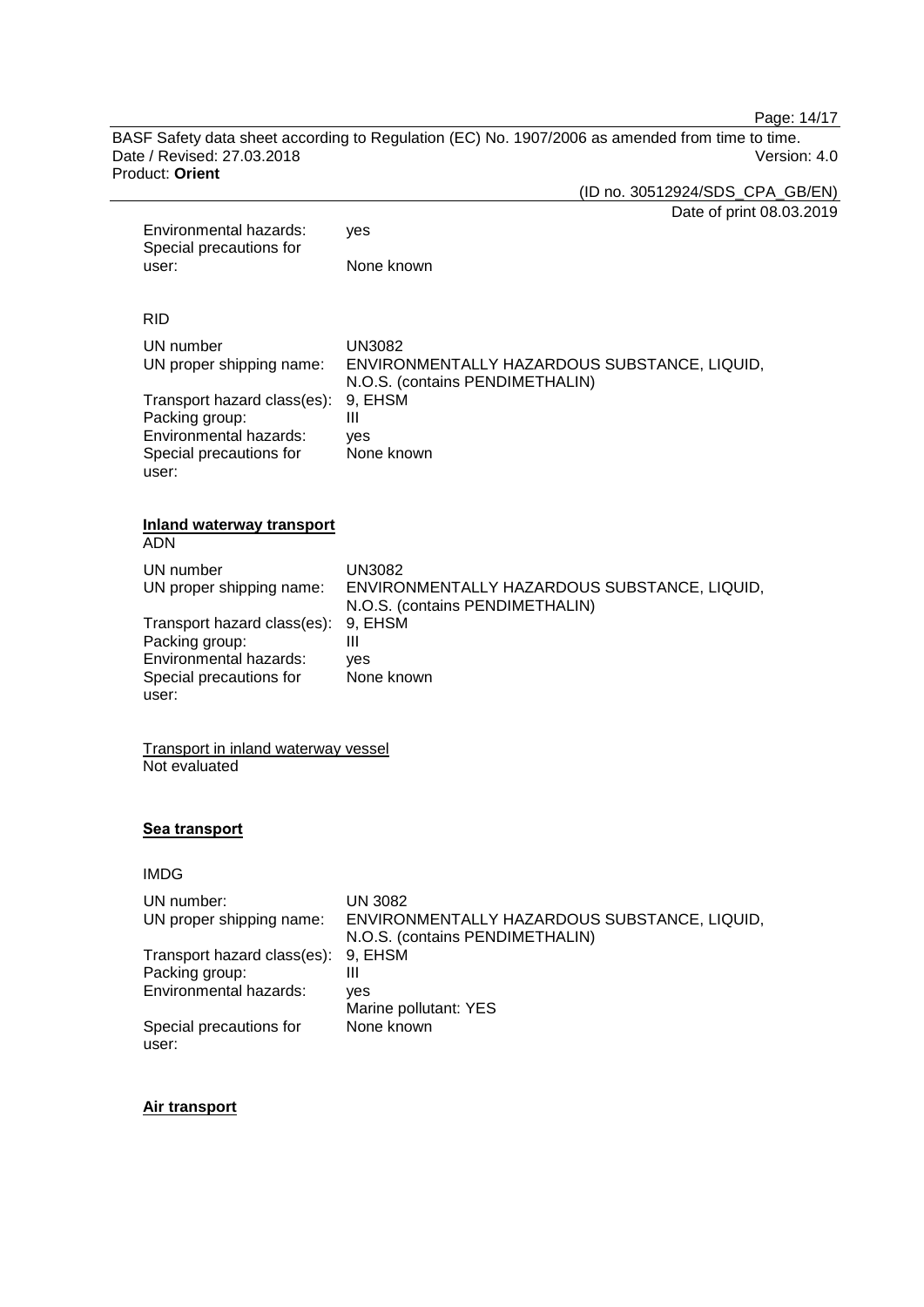Page: 14/17

BASF Safety data sheet according to Regulation (EC) No. 1907/2006 as amended from time to time. Date / Revised: 27.03.2018 Product: **Orient**

(ID no. 30512924/SDS\_CPA\_GB/EN)

|       |                                                                                                             | Date of print 08.03.2019                                                                         |
|-------|-------------------------------------------------------------------------------------------------------------|--------------------------------------------------------------------------------------------------|
|       | Environmental hazards:<br>Special precautions for                                                           | yes                                                                                              |
| user: | None known                                                                                                  |                                                                                                  |
|       |                                                                                                             |                                                                                                  |
|       | <b>RID</b>                                                                                                  |                                                                                                  |
|       | UN number<br>UN proper shipping name:                                                                       | <b>UN3082</b><br>ENVIRONMENTALLY HAZARDOUS SUBSTANCE, LIQUID,<br>N.O.S. (contains PENDIMETHALIN) |
|       | Transport hazard class(es):<br>Packing group:<br>Environmental hazards:<br>Special precautions for<br>user: | 9, EHSM<br>III<br>yes<br>None known                                                              |
|       | <b>Inland waterway transport</b><br><b>ADN</b>                                                              |                                                                                                  |
|       | UN number<br>UN proper shipping name:                                                                       | <b>UN3082</b><br>ENVIRONMENTALLY HAZARDOUS SUBSTANCE, LIQUID,<br>N.O.S. (contains PENDIMETHALIN) |
|       | Transport hazard class(es):<br>Packing group:<br>Environmental hazards:<br>Special precautions for<br>user: | 9, EHSM<br>III<br>yes<br>None known                                                              |
|       | <b>Transport in inland waterway vessel</b><br>Not evaluated                                                 |                                                                                                  |
|       | Sea transport                                                                                               |                                                                                                  |
|       | <b>IMDG</b>                                                                                                 |                                                                                                  |
|       | UN number:                                                                                                  | <b>UN 3082</b>                                                                                   |
|       | UN proper shipping name:                                                                                    | ENVIRONMENTALLY HAZARDOUS SUBSTANCE, LIQUID,<br>N.O.S. (contains PENDIMETHALIN)                  |
|       | Transport hazard class(es):                                                                                 | 9, EHSM                                                                                          |
|       | Packing group:<br>Environmental hazards:                                                                    | $\mathbf{III}$                                                                                   |
|       |                                                                                                             | yes<br>Marine pollutant: YES                                                                     |
|       | Special precautions for                                                                                     | None known                                                                                       |

### **Air transport**

user: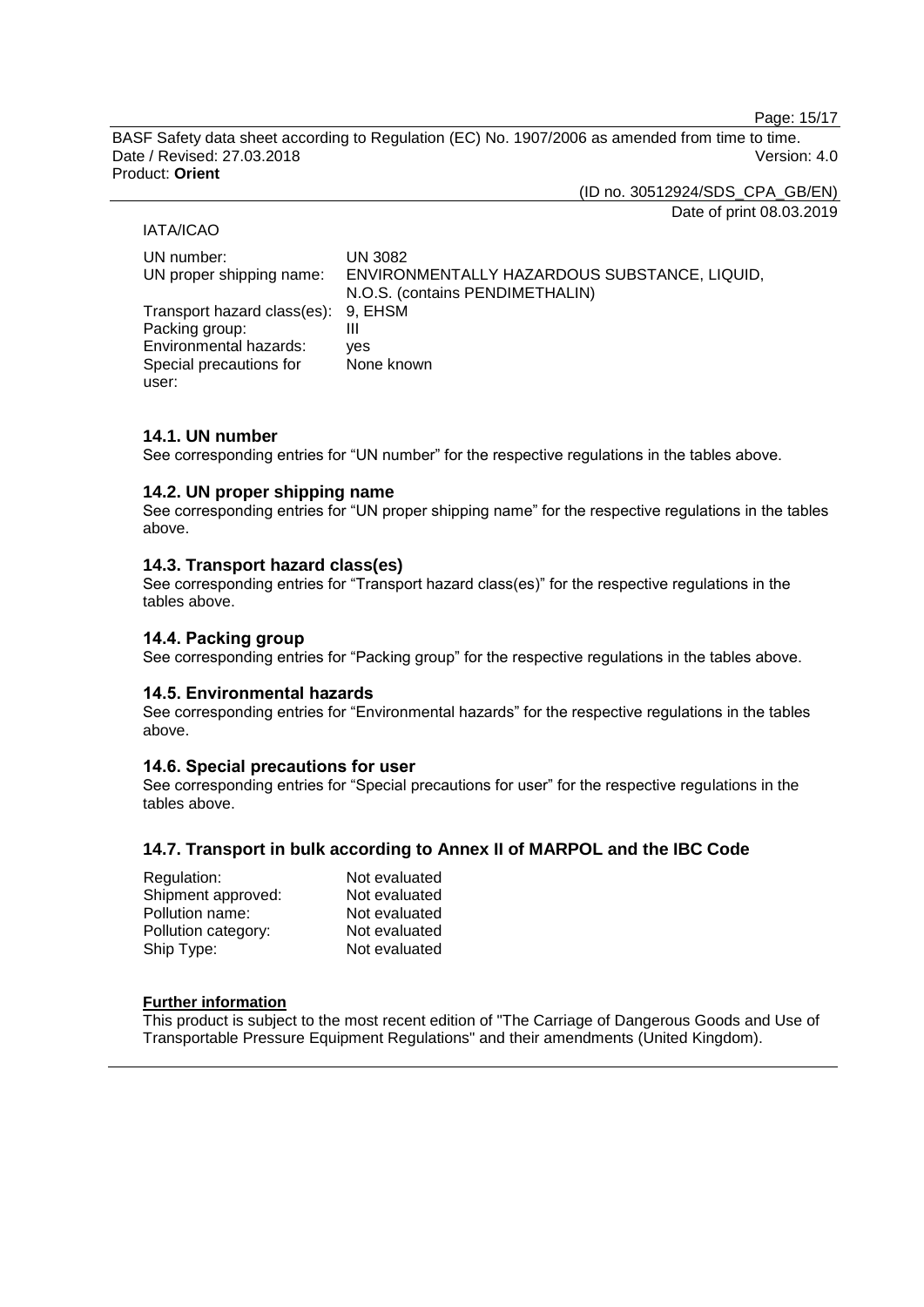Page: 15/17

BASF Safety data sheet according to Regulation (EC) No. 1907/2006 as amended from time to time. Date / Revised: 27.03.2018 Version: 4.0 Product: **Orient**

(ID no. 30512924/SDS\_CPA\_GB/EN)

#### IATA/ICAO

Date of print 08.03.2019

| UN number:<br>UN proper shipping name:                | <b>UN 3082</b><br>ENVIRONMENTALLY HAZARDOUS SUBSTANCE, LIQUID,<br>N.O.S. (contains PENDIMETHALIN) |
|-------------------------------------------------------|---------------------------------------------------------------------------------------------------|
| Transport hazard class(es): 9, EHSM<br>Packing group: | Ш                                                                                                 |
| Environmental hazards:                                | ves                                                                                               |
| Special precautions for<br>user:                      | None known                                                                                        |

#### **14.1. UN number**

See corresponding entries for "UN number" for the respective regulations in the tables above.

#### **14.2. UN proper shipping name**

See corresponding entries for "UN proper shipping name" for the respective regulations in the tables above.

#### **14.3. Transport hazard class(es)**

See corresponding entries for "Transport hazard class(es)" for the respective regulations in the tables above.

### **14.4. Packing group**

See corresponding entries for "Packing group" for the respective regulations in the tables above.

#### **14.5. Environmental hazards**

See corresponding entries for "Environmental hazards" for the respective regulations in the tables above.

#### **14.6. Special precautions for user**

See corresponding entries for "Special precautions for user" for the respective regulations in the tables above.

#### **14.7. Transport in bulk according to Annex II of MARPOL and the IBC Code**

| Regulation:         | Not evaluated |
|---------------------|---------------|
| Shipment approved:  | Not evaluated |
| Pollution name:     | Not evaluated |
| Pollution category: | Not evaluated |
| Ship Type:          | Not evaluated |

### **Further information**

This product is subject to the most recent edition of "The Carriage of Dangerous Goods and Use of Transportable Pressure Equipment Regulations" and their amendments (United Kingdom).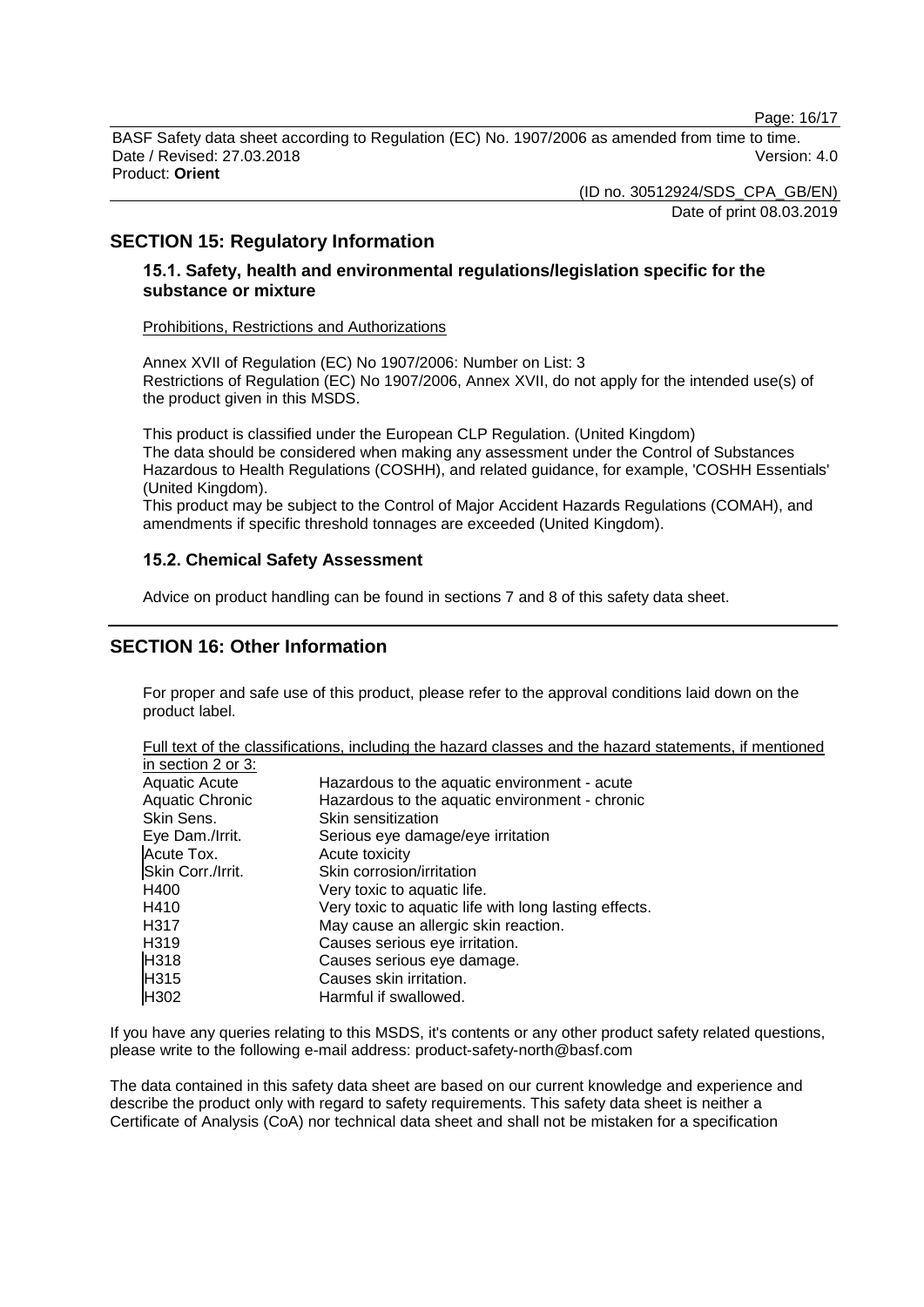Page: 16/17

BASF Safety data sheet according to Regulation (EC) No. 1907/2006 as amended from time to time. Date / Revised: 27.03.2018 Version: 4.0 Product: **Orient**

(ID no. 30512924/SDS\_CPA\_GB/EN)

Date of print 08.03.2019

### **SECTION 15: Regulatory Information**

### **15.1. Safety, health and environmental regulations/legislation specific for the substance or mixture**

#### Prohibitions, Restrictions and Authorizations

Annex XVII of Regulation (EC) No 1907/2006: Number on List: 3 Restrictions of Regulation (EC) No 1907/2006, Annex XVII, do not apply for the intended use(s) of the product given in this MSDS.

This product is classified under the European CLP Regulation. (United Kingdom) The data should be considered when making any assessment under the Control of Substances Hazardous to Health Regulations (COSHH), and related guidance, for example, 'COSHH Essentials' (United Kingdom).

This product may be subject to the Control of Major Accident Hazards Regulations (COMAH), and amendments if specific threshold tonnages are exceeded (United Kingdom).

### **15.2. Chemical Safety Assessment**

Advice on product handling can be found in sections 7 and 8 of this safety data sheet.

### **SECTION 16: Other Information**

For proper and safe use of this product, please refer to the approval conditions laid down on the product label.

Full text of the classifications, including the hazard classes and the hazard statements, if mentioned in section 2 or 3:

| Hazardous to the aquatic environment - acute          |
|-------------------------------------------------------|
| Hazardous to the aquatic environment - chronic        |
| Skin sensitization                                    |
| Serious eye damage/eye irritation                     |
| Acute toxicity                                        |
| Skin corrosion/irritation                             |
| Very toxic to aquatic life.                           |
| Very toxic to aquatic life with long lasting effects. |
| May cause an allergic skin reaction.                  |
| Causes serious eye irritation.                        |
| Causes serious eye damage.                            |
| Causes skin irritation.                               |
| Harmful if swallowed.                                 |
|                                                       |

If you have any queries relating to this MSDS, it's contents or any other product safety related questions, please write to the following e-mail address: product-safety-north@basf.com

The data contained in this safety data sheet are based on our current knowledge and experience and describe the product only with regard to safety requirements. This safety data sheet is neither a Certificate of Analysis (CoA) nor technical data sheet and shall not be mistaken for a specification